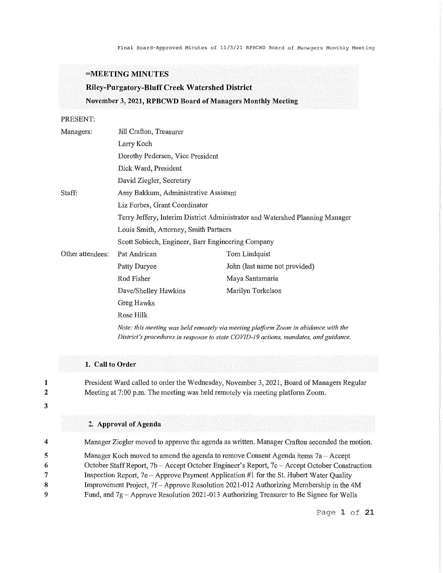Final Board-Approved Minutes of 11/3/21 RPBCWD Board of Managers Monthly Meeting

# **=MEETING MINUTES**

# **Riley-Purgatory-Bluff Creek Watershed District November 3, 2021, RPBCWD Board of Managers Monthly Meeting**

### PRESENT:

| Managers:        | Jill Crafton, Treasurer                                                                                                                                                     |                               |  |
|------------------|-----------------------------------------------------------------------------------------------------------------------------------------------------------------------------|-------------------------------|--|
|                  | Larry Koch                                                                                                                                                                  |                               |  |
|                  | Dorothy Pedersen, Vice President                                                                                                                                            |                               |  |
|                  | Dick Ward, President                                                                                                                                                        |                               |  |
|                  | David Ziegler, Secretary                                                                                                                                                    |                               |  |
| Staff:           | Amy Bakkum, Administrative Assistant                                                                                                                                        |                               |  |
|                  | Liz Forbes, Grant Coordinator                                                                                                                                               |                               |  |
|                  | Terry Jeffery, Interim District Administrator and Watershed Planning Manager                                                                                                |                               |  |
|                  | Louis Smith, Attorney, Smith Partners                                                                                                                                       |                               |  |
|                  | Scott Sobiech, Engineer, Barr Engineering Company                                                                                                                           |                               |  |
| Other attendees: | Pat Andrican                                                                                                                                                                | Tom Lindquist                 |  |
|                  | Patty Duryee                                                                                                                                                                | John (last name not provided) |  |
|                  | Rod Fisher                                                                                                                                                                  | Maya Santamaria               |  |
|                  | Dave/Shelley Hawkins                                                                                                                                                        | Marilyn Torkelson             |  |
|                  | Greg Hawks                                                                                                                                                                  |                               |  |
|                  | Rose Hilk                                                                                                                                                                   |                               |  |
|                  | Note: this meeting was held remotely via meeting platform Zoom in abidance with the<br>District's procedures in response to state COVID-19 actions, mandates, and guidance. |                               |  |

# **1. Call to Order**

President Ward called to order the Wednesday, November 3, 2021, Board of Managers Regular Meeting at 7:00 p.m. The meeting was held remotely via meeting platform Zoom.

### 3

**1**  2

### **2. Approval of Agenda**

| 4 | Manager Ziegler moved to approve the agenda as written. Manager Crafton seconded the motion.  |
|---|-----------------------------------------------------------------------------------------------|
| 5 | Manager Koch moved to amend the agenda to remove Consent Agenda items $7a - Accept$           |
| 6 | October Staff Report, 7b - Accept October Engineer's Report, 7c - Accept October Construction |
| 7 | Inspection Report, $7e -$ Approve Payment Application #1 for the St. Hubert Water Quality     |
| 8 | Improvement Project, 7f – Approve Resolution 2021-012 Authorizing Membership in the 4M        |
| 9 | Fund, and $7g$ – Approve Resolution 2021-013 Authorizing Treasurer to Be Signee for Wells     |
|   |                                                                                               |

Page **1 of 21**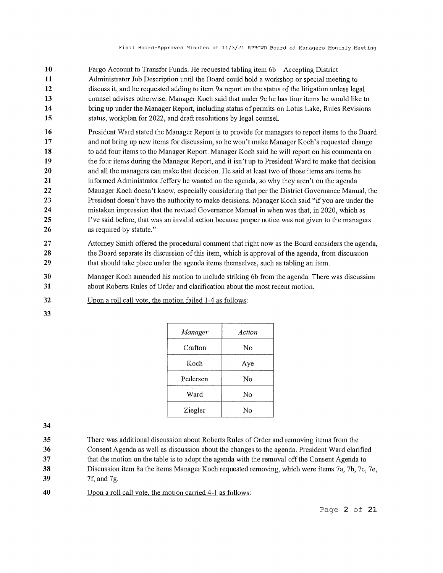- **10 11 12 13 14 15**  Fargo Account to Transfer Funds. He requested tabling item 6b – Accepting District Administrator Job Description until the Board could hold a workshop or special meeting to discuss it, and he requested adding to item 9a report on the status of the litigation unless legal counsel advises otherwise. Manager Koch said that under 9c he has four items he would like to bring up under the Manager Report, including status of permits on Lotus Lake, Rules Revisions status, workplan for 2022, and draft resolutions by legal counsel.
- **16 17 18 19 20 21 22 23 24 25 26**  President Ward stated the Manager Report is to provide for managers to report items to the Board and not bring up new items for discussion, so he won't make Manager Koch's requested change to add four items to the Manager Report. Manager Koch said he will report on his comments on the four items during the Manager Report, and it isn't up to President Ward to make that decision and all the managers can make that decision. He said at least two of those items are items he informed Administrator Jeffery he wanted on the agenda, so why they aren't on the agenda Manager Koch doesn't know, especially considering that per the District Governance Manual, the President doesn't have the authority to make decisions. Manager Koch said "if you are under the mistaken impression that the revised Governance Manual in when was that, in 2020, which as I've said before, that was an invalid action because proper notice was not given to the managers as required by statute."
- **27 28 29**  Attorney Smith offered the procedural comment that right now as the Board considers the agenda, the Board separate its discussion of this item, which is approval of the agenda, from discussion that should take place under the agenda items themselves, such as tabling an item.
- **30 31**  Manager Koch amended his motion to include striking 6b from the agenda. There was discussion about Roberts Rules of Order and clarification about the most recent motion.
- **32**  Upon a roll call vote, the motion failed 1-4 as follows:
- **33**

| Manager  | Action |
|----------|--------|
| Crafton  | No     |
| Koch     | Aye    |
| Pedersen | No     |
| Ward     | No     |
| Ziegler  | No     |

- **35 36**  There was additional discussion about Roberts Rules of Order and removing items from the Consent Agenda as well as discussion about the changes to the agenda. President Ward clarified
- **37**  that the motion on the table is to adopt the agenda with the removal off the Consent Agenda to
- **38 39**  Discussion item 8a the items Manager Koch requested removing, which were items 7a, 7b, 7c, 7e, 7f, and 7g.
- **40**  Upon a roll call vote, the motion carried 4-1 as follows: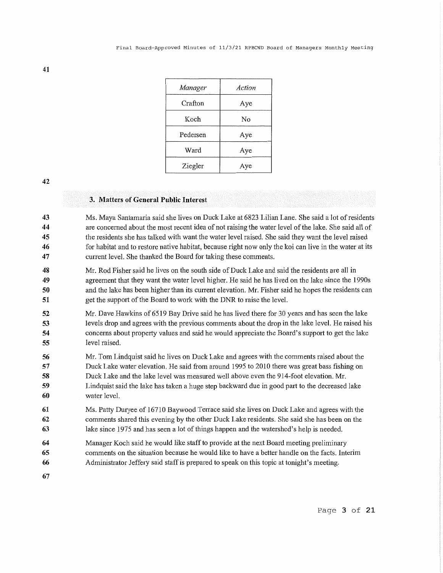| Manager  | Action |
|----------|--------|
| Crafton  | Aye    |
| Koch     | No     |
| Pedersen | Aye    |
| Ward     | Aye    |
| Ziegler  | Aye    |

### **3. Matters of General Public Interest**

**43 44 45 46 47**  Ms. Maya Santamaria said she lives on Duck Lake at 6823 Lilian Lane. She said a lot of residents are concerned about the most recent idea of not raising the water level of the lake. She said all of the residents she has talked with want the water level raised. She said they want the level raised for habitat and to restore native habitat, because right now only the koi can live in the water at its current level. She thanked the Board for taking these comments.

- **48 49 50 51**  Mr. Rod Fisher said he lives on the south side of Duck Lake and said the residents are all in agreement that they want the water level higher. He said he has lived on the lake since the 1990s and the lake has been higher than its current elevation. Mr. Fisher said he hopes the residents can get the support of the Board to work with the DNR to raise the level.
- **52 53 54 55**  Mr. Dave Hawkins of 6519 Bay Drive said he has lived there for 30 years and has seen the lake levels drop and agrees with the previous comments about the drop in the lake level. He raised his concerns about property values and said he would appreciate the Board's support to get the lake level raised.
- **56 57 58 59 60**  Mr. Tom Lindquist said he lives on Duck Lake and agrees with the comments raised about the Duck Lake water elevation. He said from around 1995 to 2010 there was great bass fishing on Duck Lake and the lake level was measured well above even the 914-foot elevation. Mr. Lindquist said the lake has taken a huge step backward due in good part to the decreased lake water level.
- **61 62 63**  Ms. Patty Duryee of 16710 Baywood Terrace said she lives on Duck Lake and agrees with the comments shared this evening by the other Duck Lake residents. She said she has been on the lake since 1975 and has seen a lot of things happen and the watershed's help is needed.
- **64**  Manager Koch said he would like staff to provide at the next Board meeting preliminary
- **65**  comments on the situation because he would like to have a better handle on the facts. Interim
- **66**  Administrator Jeffery said staff is prepared to speak on this topic at tonight's meeting.
- **67**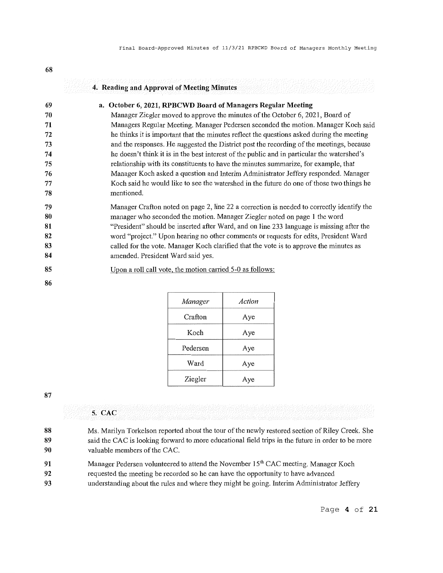|                                                          | 4. Reading and Approval of Meeting Minutes                                                                                                                                                                                                                                                                                                                                                                                                                                                                                                                                                                                                                                                                                                                                                                        |
|----------------------------------------------------------|-------------------------------------------------------------------------------------------------------------------------------------------------------------------------------------------------------------------------------------------------------------------------------------------------------------------------------------------------------------------------------------------------------------------------------------------------------------------------------------------------------------------------------------------------------------------------------------------------------------------------------------------------------------------------------------------------------------------------------------------------------------------------------------------------------------------|
| 69<br>70<br>71<br>72<br>73<br>74<br>75<br>76<br>77<br>78 | a. October 6, 2021, RPBCWD Board of Managers Regular Meeting<br>Manager Ziegler moved to approve the minutes of the October 6, 2021, Board of<br>Managers Regular Meeting. Manager Pedersen seconded the motion. Manager Koch said<br>he thinks it is important that the minutes reflect the questions asked during the meeting<br>and the responses. He suggested the District post the recording of the meetings, because<br>he doesn't think it is in the best interest of the public and in particular the watershed's<br>relationship with its constituents to have the minutes summarize, for example, that<br>Manager Koch asked a question and Interim Administrator Jeffery responded. Manager<br>Koch said he would like to see the watershed in the future do one of those two things he<br>mentioned. |
| 79<br>80<br>81<br>82<br>83<br>84<br>85<br>86             | Manager Crafton noted on page 2, line 22 a correction is needed to correctly identify the<br>manager who seconded the motion. Manager Ziegler noted on page 1 the word<br>"President" should be inserted after Ward, and on line 233 language is missing after the<br>word "project." Upon hearing no other comments or requests for edits, President Ward<br>called for the vote. Manager Koch clarified that the vote is to approve the minutes as<br>amended. President Ward said yes.<br>Upon a roll call vote, the motion carried 5-0 as follows:                                                                                                                                                                                                                                                            |

| <i>Manager</i> | Action |
|----------------|--------|
| Crafton        | Aye    |
| Koch           | Aye    |
| Pedersen       | Aye    |
| Ward           | Aye    |
| Ziegler        | Aye    |

**68** 

# **5. CAC**

| 88<br>89<br>90 | Ms. Marilyn Torkelson reported about the tour of the newly restored section of Riley Creek. She<br>said the CAC is looking forward to more educational field trips in the future in order to be more<br>valuable members of the CAC. |
|----------------|--------------------------------------------------------------------------------------------------------------------------------------------------------------------------------------------------------------------------------------|
| 91             | Manager Pedersen volunteered to attend the November 15 <sup>th</sup> CAC meeting. Manager Koch                                                                                                                                       |
| 92             | requested the meeting be recorded so he can have the opportunity to have advanced                                                                                                                                                    |
| 93             | understanding about the rules and where they might be going. Interim Administrator Jeffery                                                                                                                                           |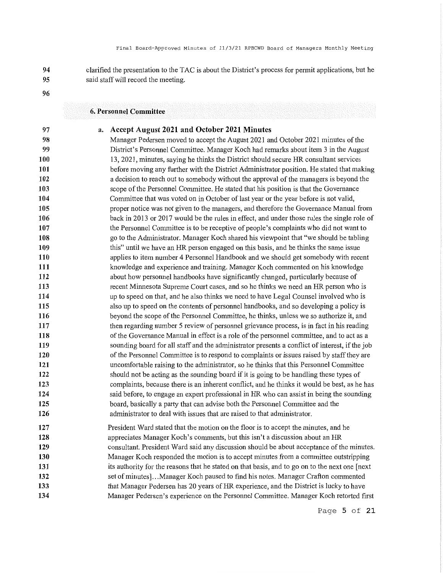clarified the presentation to the TAC is about the District's process for permit applications, but he said staff will record the meeting.

**96** 

**97** 

### **6. Personnel Committee**

### **a. Accept August 2021 and October 2021 Minutes**

**98 99 100 101 102 103 104 105 106 107 108 109 110 111 112 113 114 115 116 117 118 119 120 121 122 123 124 125 126**  Manager Pedersen moved to accept the August 2021 and October 2021 minutes of the District's Personnel Committee. Manager Koch had remarks about item 3 in the August 13, 2021, minutes, saying he thinks the District should secure HR consultant services before moving any further with the District Administrator position. He stated that making a decision to reach out to somebody without the approval of the managers is beyond the scope of the Personnel Committee. He stated that his position is that the Governance Committee that was voted on in October of last year or the year before is not valid, proper notice was not given to the managers, and therefore the Governance Manual from back in 2013 or 2017 would be the rnles in effect, and under those rnles the single role of the Personnel Committee is to be receptive of people's complaints who did not want to go to the Administrator. Manager Koch shared his viewpoint that "we should be tabling this" until we have an HR person engaged on this basis, and he thinks the same issue applies to item number 4 Personnel Handbook and we should get somebody with recent knowledge and experience and training. Manager Koch commented on his knowledge about how personnel handbooks have significantly changed, particularly because of recent Minnesota Supreme Court cases, and so he thinks we need an HR person who is up to speed on that, and he also thinks we need to have Legal Counsel involved who is also up to speed on the contents of personnel handbooks, and so developing a policy is beyond the scope of the Personnel Committee, he thinks, unless we so authorize it, and then regarding number 5 review of personnel grievance process, is in fact in his reading of the Governance Manual in effect is a role of the personnel committee, and to act as a sounding board for all staff and the administrator presents a conflict of interest, if the job of the Personnel Committee is to respond to complaints or issues raised by staff they are uncomfortable raising to the administrator, so he thinks that this Personnel Committee should not be acting as the sounding board if it is going to be handling these types of complaints, because there is an inherent conflict, and he thinks it would be best, as he has said before, to engage an expert professional in HR who can assist in being the sounding board, basically a party that can advise both the Personnel Committee and the administrator to deal with issues that are raised to that administrator.

**127 128 129 130 131 132 133 134**  President Ward stated that the motion on the floor is to accept the minutes, and he appreciates Manager Koch's comments, but this isn't a discussion about an HR consultant. President Ward said any discussion should be about acceptance of the minutes. Manager Koch responded the motion is to accept minutes from a committee outstripping its authority for the reasons that he stated on that basis, and to go on to the next one [ next set of minutes] ... Manager Koch paused to find his notes. Manager Crafton commented that Manager Pedersen has 20 years of HR experience, and the District is lucky to have Manager Pedersen's experience on the Personnel Committee. Manager Koch retorted first

Page **5 of 21**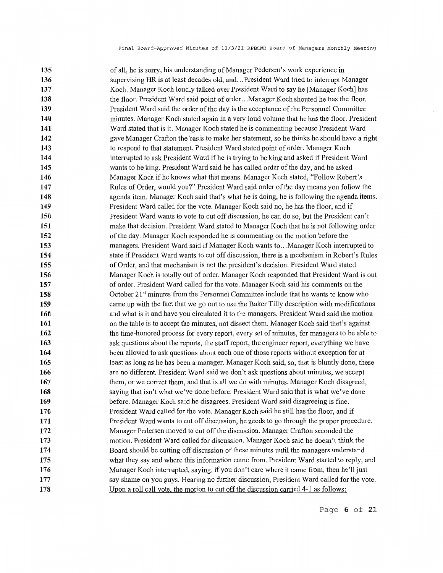**135 136 137 138 139 140 141 142 143 144 145 146 147 148 149 150 151 152 153 154 155 156 157 158 159 160 161 162 163 164 165 166 167 168 169 170 171 172 173 174 175 176 177 178**  of all, he is sorry, his understanding of Manager Pedersen' s work experience in supervising HR is at least decades old, and ... President Ward tried to interrupt Manager Koch. Manager Koch loudly talked over President Ward to say he [Manager Koch] has the floor. President Ward said point of order. .. Manager Koch shouted he has the floor. President Ward said the order of the day is the acceptance of the Personnel Committee minutes. Manager Koch stated again in a very loud volume that he has the floor. President Ward stated that is it. Manager Koch stated he is commenting because President Ward gave Manager Crafton the basis to make her statement, so he thinks he should have a right to respond to that statement. President Ward stated point of order. Manager Koch interrupted to ask President Ward if he is trying to be king and asked if President Ward wants to be king. President Ward said he has called order of the day, and he asked Manager Koch if he knows what that means. Manager Koch stated, "Follow Robert's Rules of Order, would you?" President Ward said order of the day means you follow the agenda item. Manager Koch said that's what he is doing, he is following the agenda items. President Ward called for the vote. Manager Koch said no, he has the floor, and if President Ward wants to vote to cut off discussion, he can do so, but the President can't make that decision. President Ward stated to Manager Koch that he is not following order of the day. Manager Koch responded he is commenting on the motion before the managers. President Ward said if Manager Koch wants to ... Manager Koch intenupted to state if President Ward wants to cut off discussion, there is a mechanism in Robert's Rules of Order, and that mechanism is not the president's decision. President Ward stated Manager Koch is totally out of order. Manager Koch responded that President Ward is out of order. President Ward called for the vote. Manager Koch said his comments on the October 21st minutes from the Personnel Committee include that he wants to know who came up with the fact that we go out to use the Baker Tilly description with modifications and what is it and have you circulated it to the managers. President Ward said the motion on the table is to accept the minutes, not dissect them. Manager Koch said that's against the time-honored process for every report, every set of minutes, for managers to be able to ask questions about the reports, the staff report, the engineer report, everything we have been allowed to ask questions about each one of those repmis without exception for at least as long as he has been a manager. Manager Koch said, so, that is bluntly done, these are no different. President Ward said we don't ask questions about minutes, we accept them, or we correct them, and that is all we do with minutes. Manager Koch disagreed, saying that isn't what we've done before. President Ward said that is what we've done before. Manager Koch said he disagrees. President Ward said disagreeing is fine. President Ward called for the vote. Manager Koch said he still has the floor, and if President Ward wants to cut off discussion, he needs to go through the proper procedure. Manager Pedersen moved to cut off the discussion. Manager Crafton seconded the motion. President Ward called for discussion. Manager Koch said he doesn't think the Board should be cutting off discussion of these minutes until the managers understand what they say and where this information came from. President Ward started to reply, and Manager Koch interrnpted, saying, if you don't care where it came from, then he'll just say shame on you guys. Hearing no further discussion, President Ward called for the vote. Upon a roll call vote, the motion to cut off the discussion carried 4-1 as follows: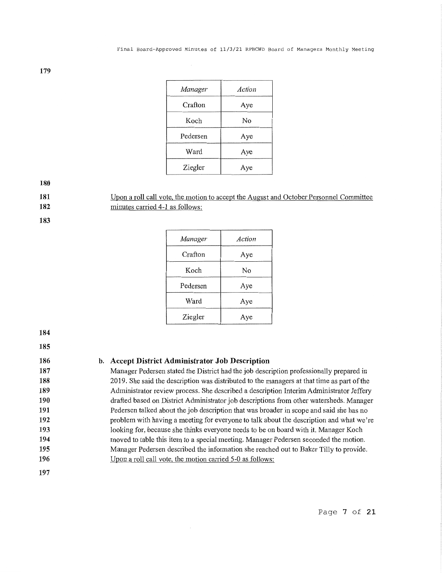| Manager  | Action |
|----------|--------|
| Crafton  | Aye    |
| Koch     | No     |
| Pedersen | Aye    |
| Ward     | Aye    |
| Ziegler  | Aye    |

**181** 

Upon a roll call vote, the motion to accept the August and October Personnel Committee minutes carried 4-1 as follows:

**183** 

**182** 

| Manager  | Action |
|----------|--------|
| Crafton  | Aye    |
| Koch     | No     |
| Pedersen | Aye    |
| Ward     | Aye    |
| Ziegler  | Aye    |

**184** 

**185** 

**186 187 188 189 190 191 192 193 194 195 b. Accept District Administrator Job Description** 

Manager Pedersen stated the District had the job description professionally prepared in

2019. She said the description was distributed to the managers at that time as part of the Administrator review process. She described a description Interim Administrator Jeffery drafted based on District Administrator job descriptions from other watersheds. Manager Pedersen talked about the job description that was broader in scope and said she has no problem with having a meeting for everyone to talk about the description and what we're looking for, because she thinks everyone needs to be on board with it. Manager Koch moved to table this item to a special meeting. Manager Pedersen seconded the motion. Manager Pedersen described the information she reached out to Baker Tilly to provide. Upon a roll call vote, the motion carried 5-0 as follows:

**196 197**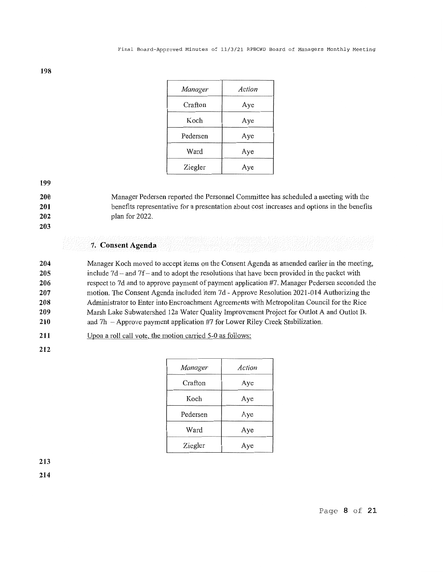| Manager  | Action |
|----------|--------|
| Crafton  | Aye    |
| Koch     | Aye    |
| Pedersen | Aye    |
| Ward     | Aye    |
| Ziegler  | Aye    |

**200 201**  Manager Pedersen reported the Personnel Committee has scheduled a meeting with the benefits representative for a presentation about cost increases and options in the benefits

**202** 

**203** 

# **7. Consent Agenda**

plan for 2022.

**204 205 206 207 208 209 210**  Manager Koch moved to accept items on the Consent Agenda as amended earlier in the meeting, include  $7d$  - and  $7f$  - and to adopt the resolutions that have been provided in the packet with respect to 7d and to approve payment of payment application #7. Manager Pedersen seconded the motion. The Consent Agenda included item 7d - Approve Resolution 2021-014 Authorizing the Administrator to Enter into Encroachment Agreements with Metropolitan Council for the Rice Marsh Lake Subwatershed 12a Water Quality Improvement Project for Outlot A and Outlot B. and  $7h$  – Approve payment application #7 for Lower Riley Creek Stabilization.

**211**  Upon a roll call vote, the motion carried 5-0 as follows:

**212** 

| Manager  | Action |
|----------|--------|
| Crafton  | Aye    |
| Koch     | Aye    |
| Pedersen | Aye    |
| Ward     | Aye    |
| Ziegler  | Aye    |

**213 214** 

**198**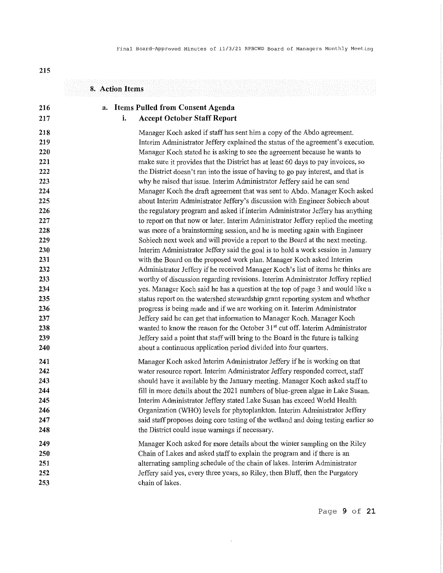| <b>Accept October Staff Report</b><br>i.<br>Manager Koch asked if staff has sent him a copy of the Abdo agreement.<br>why he raised that issue. Interim Administrator Jeffery said he can send<br>about Interim Administrator Jeffery's discussion with Engineer Sobiech about<br>the regulatory program and asked if Interim Administrator Jeffery has anything<br>to report on that now or later. Interim Administrator Jeffery replied the meeting<br>was more of a brainstorming session, and he is meeting again with Engineer<br>Sobiech next week and will provide a report to the Board at the next meeting.<br>Interim Administrator Jeffery said the goal is to hold a work session in January<br>with the Board on the proposed work plan. Manager Koch asked Interim<br>Administrator Jeffery if he received Manager Koch's list of items he thinks are<br>worthy of discussion regarding revisions. Interim Administrator Jeffery replied<br>yes. Manager Koch said he has a question at the top of page 3 and would like a<br>status report on the watershed stewardship grant reporting system and whether<br>progress is being made and if we are working on it. Interim Administrator<br>Jeffery said he can get that information to Manager Koch. Manager Koch<br>wanted to know the reason for the October 31 <sup>st</sup> cut off. Interim Administrator<br>Jeffery said a point that staff will bring to the Board in the future is talking<br>about a continuous application period divided into four quarters.<br>Interim Administrator Jeffery stated Lake Susan has exceed World Health<br>said staff proposes doing core testing of the wetland and doing testing earlier so<br>the District could issue warnings if necessary.<br>Chain of Lakes and asked staff to explain the program and if there is an | <b>Items Pulled from Consent Agenda</b><br>а.                                     |
|----------------------------------------------------------------------------------------------------------------------------------------------------------------------------------------------------------------------------------------------------------------------------------------------------------------------------------------------------------------------------------------------------------------------------------------------------------------------------------------------------------------------------------------------------------------------------------------------------------------------------------------------------------------------------------------------------------------------------------------------------------------------------------------------------------------------------------------------------------------------------------------------------------------------------------------------------------------------------------------------------------------------------------------------------------------------------------------------------------------------------------------------------------------------------------------------------------------------------------------------------------------------------------------------------------------------------------------------------------------------------------------------------------------------------------------------------------------------------------------------------------------------------------------------------------------------------------------------------------------------------------------------------------------------------------------------------------------------------------------------------------------------------------------------------------------------------------------|-----------------------------------------------------------------------------------|
|                                                                                                                                                                                                                                                                                                                                                                                                                                                                                                                                                                                                                                                                                                                                                                                                                                                                                                                                                                                                                                                                                                                                                                                                                                                                                                                                                                                                                                                                                                                                                                                                                                                                                                                                                                                                                                        |                                                                                   |
|                                                                                                                                                                                                                                                                                                                                                                                                                                                                                                                                                                                                                                                                                                                                                                                                                                                                                                                                                                                                                                                                                                                                                                                                                                                                                                                                                                                                                                                                                                                                                                                                                                                                                                                                                                                                                                        |                                                                                   |
|                                                                                                                                                                                                                                                                                                                                                                                                                                                                                                                                                                                                                                                                                                                                                                                                                                                                                                                                                                                                                                                                                                                                                                                                                                                                                                                                                                                                                                                                                                                                                                                                                                                                                                                                                                                                                                        | Interim Administrator Jeffery explained the status of the agreement's execution.  |
|                                                                                                                                                                                                                                                                                                                                                                                                                                                                                                                                                                                                                                                                                                                                                                                                                                                                                                                                                                                                                                                                                                                                                                                                                                                                                                                                                                                                                                                                                                                                                                                                                                                                                                                                                                                                                                        | Manager Koch stated he is asking to see the agreement because he wants to         |
|                                                                                                                                                                                                                                                                                                                                                                                                                                                                                                                                                                                                                                                                                                                                                                                                                                                                                                                                                                                                                                                                                                                                                                                                                                                                                                                                                                                                                                                                                                                                                                                                                                                                                                                                                                                                                                        | make sure it provides that the District has at least 60 days to pay invoices, so  |
|                                                                                                                                                                                                                                                                                                                                                                                                                                                                                                                                                                                                                                                                                                                                                                                                                                                                                                                                                                                                                                                                                                                                                                                                                                                                                                                                                                                                                                                                                                                                                                                                                                                                                                                                                                                                                                        | the District doesn't run into the issue of having to go pay interest, and that is |
|                                                                                                                                                                                                                                                                                                                                                                                                                                                                                                                                                                                                                                                                                                                                                                                                                                                                                                                                                                                                                                                                                                                                                                                                                                                                                                                                                                                                                                                                                                                                                                                                                                                                                                                                                                                                                                        |                                                                                   |
|                                                                                                                                                                                                                                                                                                                                                                                                                                                                                                                                                                                                                                                                                                                                                                                                                                                                                                                                                                                                                                                                                                                                                                                                                                                                                                                                                                                                                                                                                                                                                                                                                                                                                                                                                                                                                                        | Manager Koch the draft agreement that was sent to Abdo. Manager Koch asked        |
|                                                                                                                                                                                                                                                                                                                                                                                                                                                                                                                                                                                                                                                                                                                                                                                                                                                                                                                                                                                                                                                                                                                                                                                                                                                                                                                                                                                                                                                                                                                                                                                                                                                                                                                                                                                                                                        |                                                                                   |
|                                                                                                                                                                                                                                                                                                                                                                                                                                                                                                                                                                                                                                                                                                                                                                                                                                                                                                                                                                                                                                                                                                                                                                                                                                                                                                                                                                                                                                                                                                                                                                                                                                                                                                                                                                                                                                        |                                                                                   |
|                                                                                                                                                                                                                                                                                                                                                                                                                                                                                                                                                                                                                                                                                                                                                                                                                                                                                                                                                                                                                                                                                                                                                                                                                                                                                                                                                                                                                                                                                                                                                                                                                                                                                                                                                                                                                                        |                                                                                   |
|                                                                                                                                                                                                                                                                                                                                                                                                                                                                                                                                                                                                                                                                                                                                                                                                                                                                                                                                                                                                                                                                                                                                                                                                                                                                                                                                                                                                                                                                                                                                                                                                                                                                                                                                                                                                                                        |                                                                                   |
|                                                                                                                                                                                                                                                                                                                                                                                                                                                                                                                                                                                                                                                                                                                                                                                                                                                                                                                                                                                                                                                                                                                                                                                                                                                                                                                                                                                                                                                                                                                                                                                                                                                                                                                                                                                                                                        |                                                                                   |
|                                                                                                                                                                                                                                                                                                                                                                                                                                                                                                                                                                                                                                                                                                                                                                                                                                                                                                                                                                                                                                                                                                                                                                                                                                                                                                                                                                                                                                                                                                                                                                                                                                                                                                                                                                                                                                        |                                                                                   |
|                                                                                                                                                                                                                                                                                                                                                                                                                                                                                                                                                                                                                                                                                                                                                                                                                                                                                                                                                                                                                                                                                                                                                                                                                                                                                                                                                                                                                                                                                                                                                                                                                                                                                                                                                                                                                                        |                                                                                   |
|                                                                                                                                                                                                                                                                                                                                                                                                                                                                                                                                                                                                                                                                                                                                                                                                                                                                                                                                                                                                                                                                                                                                                                                                                                                                                                                                                                                                                                                                                                                                                                                                                                                                                                                                                                                                                                        |                                                                                   |
|                                                                                                                                                                                                                                                                                                                                                                                                                                                                                                                                                                                                                                                                                                                                                                                                                                                                                                                                                                                                                                                                                                                                                                                                                                                                                                                                                                                                                                                                                                                                                                                                                                                                                                                                                                                                                                        |                                                                                   |
|                                                                                                                                                                                                                                                                                                                                                                                                                                                                                                                                                                                                                                                                                                                                                                                                                                                                                                                                                                                                                                                                                                                                                                                                                                                                                                                                                                                                                                                                                                                                                                                                                                                                                                                                                                                                                                        |                                                                                   |
|                                                                                                                                                                                                                                                                                                                                                                                                                                                                                                                                                                                                                                                                                                                                                                                                                                                                                                                                                                                                                                                                                                                                                                                                                                                                                                                                                                                                                                                                                                                                                                                                                                                                                                                                                                                                                                        |                                                                                   |
|                                                                                                                                                                                                                                                                                                                                                                                                                                                                                                                                                                                                                                                                                                                                                                                                                                                                                                                                                                                                                                                                                                                                                                                                                                                                                                                                                                                                                                                                                                                                                                                                                                                                                                                                                                                                                                        |                                                                                   |
|                                                                                                                                                                                                                                                                                                                                                                                                                                                                                                                                                                                                                                                                                                                                                                                                                                                                                                                                                                                                                                                                                                                                                                                                                                                                                                                                                                                                                                                                                                                                                                                                                                                                                                                                                                                                                                        |                                                                                   |
|                                                                                                                                                                                                                                                                                                                                                                                                                                                                                                                                                                                                                                                                                                                                                                                                                                                                                                                                                                                                                                                                                                                                                                                                                                                                                                                                                                                                                                                                                                                                                                                                                                                                                                                                                                                                                                        |                                                                                   |
|                                                                                                                                                                                                                                                                                                                                                                                                                                                                                                                                                                                                                                                                                                                                                                                                                                                                                                                                                                                                                                                                                                                                                                                                                                                                                                                                                                                                                                                                                                                                                                                                                                                                                                                                                                                                                                        |                                                                                   |
|                                                                                                                                                                                                                                                                                                                                                                                                                                                                                                                                                                                                                                                                                                                                                                                                                                                                                                                                                                                                                                                                                                                                                                                                                                                                                                                                                                                                                                                                                                                                                                                                                                                                                                                                                                                                                                        | Manager Koch asked Interim Administrator Jeffery if he is working on that         |
|                                                                                                                                                                                                                                                                                                                                                                                                                                                                                                                                                                                                                                                                                                                                                                                                                                                                                                                                                                                                                                                                                                                                                                                                                                                                                                                                                                                                                                                                                                                                                                                                                                                                                                                                                                                                                                        | water resource report. Interim Administrator Jeffery responded correct, staff     |
|                                                                                                                                                                                                                                                                                                                                                                                                                                                                                                                                                                                                                                                                                                                                                                                                                                                                                                                                                                                                                                                                                                                                                                                                                                                                                                                                                                                                                                                                                                                                                                                                                                                                                                                                                                                                                                        | should have it available by the January meeting. Manager Koch asked staff to      |
|                                                                                                                                                                                                                                                                                                                                                                                                                                                                                                                                                                                                                                                                                                                                                                                                                                                                                                                                                                                                                                                                                                                                                                                                                                                                                                                                                                                                                                                                                                                                                                                                                                                                                                                                                                                                                                        | fill in more details about the 2021 numbers of blue-green algae in Lake Susan.    |
|                                                                                                                                                                                                                                                                                                                                                                                                                                                                                                                                                                                                                                                                                                                                                                                                                                                                                                                                                                                                                                                                                                                                                                                                                                                                                                                                                                                                                                                                                                                                                                                                                                                                                                                                                                                                                                        |                                                                                   |
|                                                                                                                                                                                                                                                                                                                                                                                                                                                                                                                                                                                                                                                                                                                                                                                                                                                                                                                                                                                                                                                                                                                                                                                                                                                                                                                                                                                                                                                                                                                                                                                                                                                                                                                                                                                                                                        | Organization (WHO) levels for phytoplankton. Interim Administrator Jeffery        |
|                                                                                                                                                                                                                                                                                                                                                                                                                                                                                                                                                                                                                                                                                                                                                                                                                                                                                                                                                                                                                                                                                                                                                                                                                                                                                                                                                                                                                                                                                                                                                                                                                                                                                                                                                                                                                                        |                                                                                   |
|                                                                                                                                                                                                                                                                                                                                                                                                                                                                                                                                                                                                                                                                                                                                                                                                                                                                                                                                                                                                                                                                                                                                                                                                                                                                                                                                                                                                                                                                                                                                                                                                                                                                                                                                                                                                                                        |                                                                                   |
|                                                                                                                                                                                                                                                                                                                                                                                                                                                                                                                                                                                                                                                                                                                                                                                                                                                                                                                                                                                                                                                                                                                                                                                                                                                                                                                                                                                                                                                                                                                                                                                                                                                                                                                                                                                                                                        | Manager Koch asked for more details about the winter sampling on the Riley        |
|                                                                                                                                                                                                                                                                                                                                                                                                                                                                                                                                                                                                                                                                                                                                                                                                                                                                                                                                                                                                                                                                                                                                                                                                                                                                                                                                                                                                                                                                                                                                                                                                                                                                                                                                                                                                                                        |                                                                                   |
|                                                                                                                                                                                                                                                                                                                                                                                                                                                                                                                                                                                                                                                                                                                                                                                                                                                                                                                                                                                                                                                                                                                                                                                                                                                                                                                                                                                                                                                                                                                                                                                                                                                                                                                                                                                                                                        | alternating sampling schedule of the chain of lakes. Interim Administrator        |
|                                                                                                                                                                                                                                                                                                                                                                                                                                                                                                                                                                                                                                                                                                                                                                                                                                                                                                                                                                                                                                                                                                                                                                                                                                                                                                                                                                                                                                                                                                                                                                                                                                                                                                                                                                                                                                        | Jeffery said yes, every three years, so Riley, then Bluff, then the Purgatory     |

 $\bar{z}$ 

**215** 

Page **9 of 21**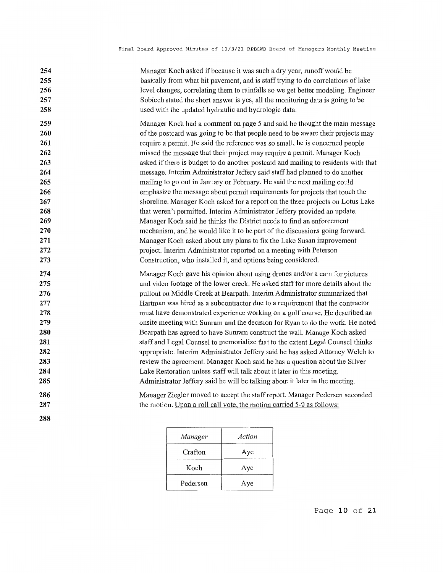| 254               | Manager Koch asked if because it was such a dry year, runoff would be                                                                                |
|-------------------|------------------------------------------------------------------------------------------------------------------------------------------------------|
| 255               | basically from what hit pavement, and is staff trying to do correlations of lake                                                                     |
| 256               | level changes, correlating them to rainfalls so we get better modeling. Engineer                                                                     |
| 257               | Sobiech stated the short answer is yes, all the monitoring data is going to be                                                                       |
| 258               | used with the updated hydraulic and hydrologic data.                                                                                                 |
| 259               | Manager Koch had a comment on page 5 and said he thought the main message                                                                            |
| 260               | of the postcard was going to be that people need to be aware their projects may                                                                      |
| 261               | require a permit. He said the reference was so small, he is concerned people                                                                         |
| 262               | missed the message that their project may require a permit. Manager Koch                                                                             |
| 263               | asked if there is budget to do another postcard and mailing to residents with that                                                                   |
| 264               | message. Interim Administrator Jeffery said staff had planned to do another                                                                          |
| 265               | mailing to go out in January or February. He said the next mailing could                                                                             |
| 266               | emphasize the message about permit requirements for projects that touch the                                                                          |
| 267               | shoreline. Manager Koch asked for a report on the three projects on Lotus Lake                                                                       |
| 268               | that weren't permitted. Interim Administrator Jeffery provided an update.                                                                            |
| 269               | Manager Koch said he thinks the District needs to find an enforcement                                                                                |
| 270               | mechanism, and he would like it to be part of the discussions going forward.                                                                         |
| 271               | Manager Koch asked about any plans to fix the Lake Susan improvement                                                                                 |
| 272               | project. Interim Administrator reported on a meeting with Peterson                                                                                   |
| 273               | Construction, who installed it, and options being considered.                                                                                        |
| 274               | Manager Koch gave his opinion about using drones and/or a cam for pictures                                                                           |
| 275               | and video footage of the lower creek. He asked staff for more details about the                                                                      |
| 276               | pullout on Middle Creek at Bearpath. Interim Administrator summarized that                                                                           |
| 277               | Hartman was hired as a subcontractor due to a requirement that the contractor                                                                        |
| 278               | must have demonstrated experience working on a golf course. He described an                                                                          |
| 279               | onsite meeting with Sunram and the decision for Ryan to do the work. He noted                                                                        |
| 280               | Bearpath has agreed to have Sunram construct the wall. Manage Koch asked                                                                             |
| 281               | staff and Legal Counsel to memorialize that to the extent Legal Counsel thinks                                                                       |
| 282               | appropriate. Interim Administrator Jeffery said he has asked Attorney Welch to                                                                       |
| 283               | review the agreement. Manager Koch said he has a question about the Silver                                                                           |
| 284               | Lake Restoration unless staff will talk about it later in this meeting.                                                                              |
| 285               | Administrator Jeffery said he will be talking about it later in the meeting.                                                                         |
| 286<br>287<br>288 | Manager Ziegler moved to accept the staff report. Manager Pedersen seconded<br>the motion. Upon a roll call vote, the motion carried 5-0 as follows: |

| Manager  | Action |
|----------|--------|
| Crafton  | Aye    |
| Koch     | Aye    |
| Pedersen | Aye    |

Page **10 of 21**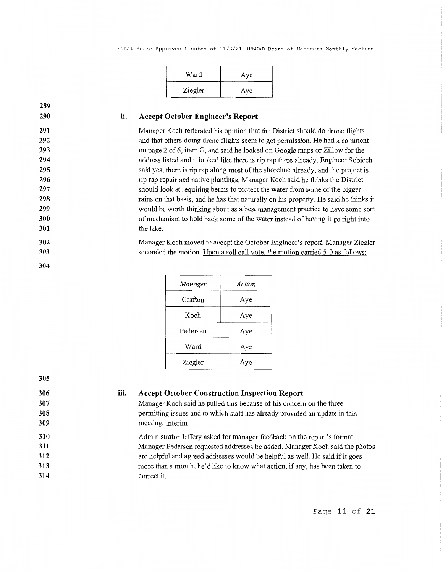| Ward    | Aye |
|---------|-----|
| Ziegler | Aye |

| 289 |
|-----|
| 290 |
| 291 |
| 292 |
| 293 |
| 294 |

**305** 

#### **ii. Accept October Engineer's Report**

Manager Koch reiterated his opinion that the District should do drone flights and that others doing drone flights seem to get permission. He had a comment on page 2 of 6, item G, and said he looked on Google maps or Zillow for the address listed and it looked like there is rip rap there already. Engineer Sobiech said yes, there is rip rap along most of the shoreline already, and the project is rip rap repair and native plantings. Manager Koch said he thinks the District should look at requiring berms to protect the water from some of the bigger rains on that basis, and he has that naturally on his property. He said he thinks it would be worth thinking about as a best management practice to have some sort of mechanism to hold back some of the water instead of having it go right into the lake.

Manager Koch moved to accept the October Engineer's report. Manager Ziegler seconded the motion. Upon a roll call vote, the motion carried 5-0 as follows:

| Manager  | Action |
|----------|--------|
| Crafton  | Aye    |
| Koch     | Aye    |
| Pedersen | Aye    |
| Ward     | Aye    |
| Ziegler  | Aye    |

| Manager Koch said he pulled this because of his concern on the three          |
|-------------------------------------------------------------------------------|
| permitting issues and to which staff has already provided an update in this   |
| meeting. Interim                                                              |
| Administrator Jeffery asked for manager feedback on the report's format.      |
| Manager Pedersen requested addresses be added. Manager Koch said the photos   |
| are helpful and agreed addresses would be helpful as well. He said if it goes |
| more than a month, he'd like to know what action, if any, has been taken to   |
| correct it.                                                                   |
|                                                                               |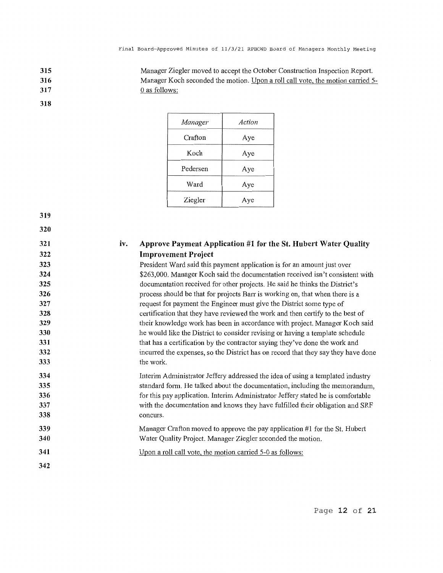Manager Ziegler moved to accept the October Constrnction Inspection Report. Manager Koch seconded the motion. Upon a roll call vote, the motion carried 5-0 as follows:

**317 318** 

**315 316** 

| Manager  | Action |
|----------|--------|
| Crafton  | Aye    |
| Koch     | Aye    |
| Pedersen | Aye    |
| Ward     | Aye    |
| Ziegler  | Aye    |

**319** 

**320 321 322 323 324 325 326 327 328 329 330 331 332 333 334 335 336 337 338 339 340 341 342 iv. Approve Payment Application #1 for the St. Hubert Water Quality Improvement Project**  President Ward said this payment application is for an amount just over \$263,000. Manager Koch said the documentation received isn't consistent with documentation received for other projects. He said he thinks the District's process should be that for projects Barr is working on, that when there is a request for payment the Engineer must give the District some type of certification that they have reviewed the work and then certify to the best of their knowledge work has been in accordance with project. Manager Koch said he would like the District to consider revising or having a template schedule that has a certification by the contractor saying they've done the work and incurred the expenses, so the District has on record that they say they have done the work. Interim Administrator Jeffery addressed the idea of using a templated industry standard form. He talked about the documentation, including the memorandum, for this pay application. Interim Administrator Jeffery stated he is comfortable with the documentation and knows they have fulfilled their obligation and SRF concurs. Manager Crafton moved to approve the pay application #1 for the St. Hubert Water Quality Project. Manager Ziegler seconded the motion. Upon a roll call vote, the motion carried 5-0 as follows: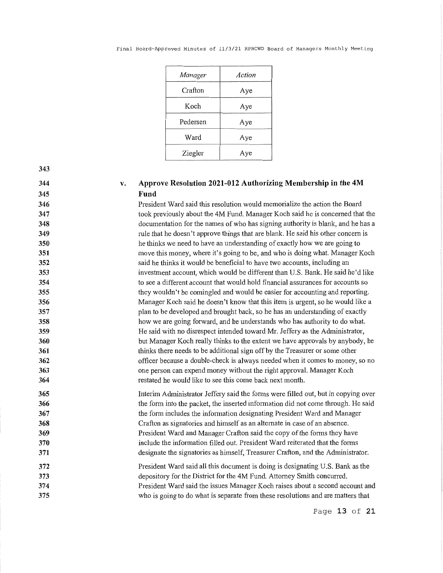|  | Final Board-Approved Minutes of 11/3/21 RPBCWD Board of Managers Monthly Meeting |  |  |  |  |  |  |  |  |  |
|--|----------------------------------------------------------------------------------|--|--|--|--|--|--|--|--|--|
|--|----------------------------------------------------------------------------------|--|--|--|--|--|--|--|--|--|

| Manager  | Action |
|----------|--------|
| Crafton  | Aye    |
| Koch     | Aye    |
| Pedersen | Aye    |
| Ward     | Aye    |
| Ziegler  | /e     |

# **344 345**

#### **v. Approve Resolution 2021-012 Authorizing Membership in the 4M Fund**

President Ward said this resolution would memorialize the action the Board took previously about the 4M Fund. Manager Koch said he is concerned that the documentation for the names of who has signing authority is blank, and he has a rule that he doesn't approve things that are blank. He said his other concern is he thinks we need to have an understanding of exactly how we are going to move this money, where it's going to be, and who is doing what. Manager Koch said he thinks it would be beneficial to have two accounts, including an investment account, which would be different than U.S. Bank. He said he'd like to see a different account that would hold financial assurances for accounts so they wouldn't be comingled and would be easier for accounting and reporting. Manager Koch said he doesn't know that this item is urgent, so he would like a plan to be developed and brought back, so he has an understanding of exactly how we are going forward, and he understands who has authority to do what. He said with no disrespect intended toward Mr. Jeffery as the Administrator, but Manager Koch really thinks to the extent we have approvals by anybody, he thinks there needs to be additional sign off by the Treasurer or some other officer because a double-check is always needed when it comes to money, so no one person can expend money without the right approval. Manager Koch restated he would like to see this come back next month.

**365 366 367 368 369 370 371**  Interim Administrator Jeffery said the forms were filled out, but in copying over the form into the packet, the inserted information did not come through. He said the fonn includes the information designating President Ward and Manager Crafton as signatories and himself as an alternate in case of an absence. President Ward and Manager Crafton said the copy of the forms they have include the information filled out. President Ward reiterated that the forms designate the signatories as himself, Treasurer Crafton, and the Administrator.

**372 373 374 375**  President Ward said all this document is doing is designating U.S. Bank as the depository for the District for the 4M Fund. Attorney Smith concurred. President Ward said the issues Manager Koch raises about a second account and who is going to do what is separate from these resolutions and are matters that

Page **13 of 21**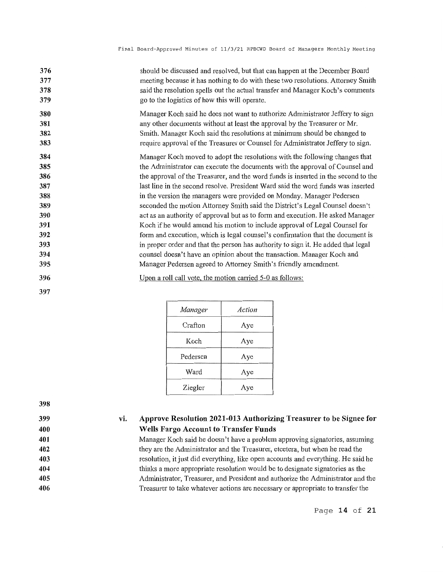| 376<br>377<br>378<br>379 | should be discussed and resolved, but that can happen at the December Board<br>meeting because it has nothing to do with these two resolutions. Attorney Smith<br>said the resolution spells out the actual transfer and Manager Koch's comments<br>go to the logistics of how this will operate.                         |
|--------------------------|---------------------------------------------------------------------------------------------------------------------------------------------------------------------------------------------------------------------------------------------------------------------------------------------------------------------------|
| 380<br>381<br>382<br>383 | Manager Koch said he does not want to authorize Administrator Jeffery to sign<br>any other documents without at least the approval by the Treasurer or Mr.<br>Smith. Manager Koch said the resolutions at minimum should be changed to<br>require approval of the Treasurer or Counsel for Administrator Jeffery to sign. |
| 384                      | Manager Koch moved to adopt the resolutions with the following changes that                                                                                                                                                                                                                                               |
| 385                      | the Administrator can execute the documents with the approval of Counsel and                                                                                                                                                                                                                                              |
| 386<br>387               | the approval of the Treasurer, and the word funds is inserted in the second to the<br>last line in the second resolve. President Ward said the word funds was inserted                                                                                                                                                    |
| 388                      | in the version the managers were provided on Monday. Manager Pedersen                                                                                                                                                                                                                                                     |
| 389                      | seconded the motion Attorney Smith said the District's Legal Counsel doesn't                                                                                                                                                                                                                                              |
| 390                      | act as an authority of approval but as to form and execution. He asked Manager                                                                                                                                                                                                                                            |
| 391                      | Koch if he would amend his motion to include approval of Legal Counsel for                                                                                                                                                                                                                                                |
| 392                      | form and execution, which is legal counsel's confirmation that the document is                                                                                                                                                                                                                                            |
| 393                      | in proper order and that the person has authority to sign it. He added that legal                                                                                                                                                                                                                                         |
| 394                      | counsel doesn't have an opinion about the transaction. Manager Koch and                                                                                                                                                                                                                                                   |
| 395                      | Manager Pedersen agreed to Attorney Smith's friendly amendment.                                                                                                                                                                                                                                                           |
| 396                      | Upon a roll call vote, the motion carried 5-0 as follows:                                                                                                                                                                                                                                                                 |
| 397                      |                                                                                                                                                                                                                                                                                                                           |

| <b>Manager</b> | Action |
|----------------|--------|
| Crafton        | Aye    |
| Koch           | Aye    |
| Pedersen       | Aye    |
| Ward           | Aye    |
| Ziegler        | Aye    |

#### **vi. Approve Resolution 2021-013 Authorizing Treasurer to be Signee for Wells Fargo Account to Transfer Funds**

Manager Koch said he doesn't have a problem approving signatories, assuming they are the Administrator and the Treasurer, etcetera, but when he read the resolution, it just did everything, like open accounts and everything. He said he thinks a more appropriate resolution would be to designate signatories as the Administrator, Treasurer, and President and authorize the Administrator and the Treasurer to take whatever actions are necessary or appropriate to transfer the

Page **14 of 21**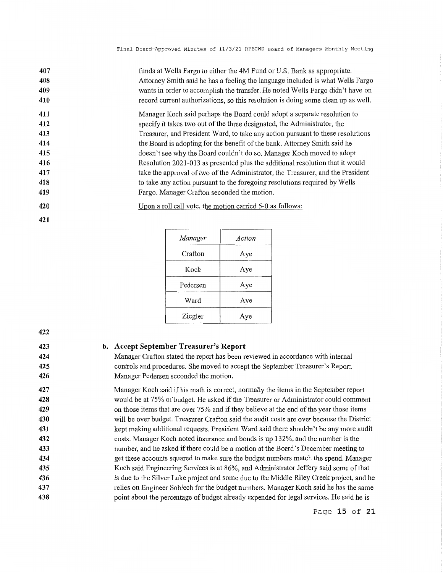| 407 | funds at Wells Fargo to either the 4M Fund or U.S. Bank as appropriate.           |
|-----|-----------------------------------------------------------------------------------|
| 408 | Attorney Smith said he has a feeling the language included is what Wells Fargo    |
| 409 | wants in order to accomplish the transfer. He noted Wells Fargo didn't have on    |
| 410 | record current authorizations, so this resolution is doing some clean up as well. |
| 411 | Manager Koch said perhaps the Board could adopt a separate resolution to          |
| 412 | specify it takes two out of the three designated, the Administrator, the          |
| 413 | Treasurer, and President Ward, to take any action pursuant to these resolutions   |
| 414 | the Board is adopting for the benefit of the bank. Attorney Smith said he         |
| 415 | doesn't see why the Board couldn't do so. Manager Koch moved to adopt             |
| 416 | Resolution 2021-013 as presented plus the additional resolution that it would     |
| 417 | take the approval of two of the Administrator, the Treasurer, and the President   |
| 418 | to take any action pursuant to the foregoing resolutions required by Wells        |
| 419 | Fargo. Manager Crafton seconded the motion.                                       |
| 420 | Upon a roll call vote, the motion carried 5-0 as follows:                         |

| Manager  | Action |
|----------|--------|
| Crafton  | Aye    |
| Koch     | Aye    |
| Pedersen | Aye    |
| Ward     | Aye    |
| Ziegler  | Aye    |

**421** 

#### **423 424 425 426 427 428 429 430 431 432 433 434 435 436 437 438 b. Accept September Treasurer's Report**  Manager Crafton stated the report has been reviewed in accordance with internal controls and procedures. She moved to accept the September Treasurer's Report. Manager Pedersen seconded the motion. Manager Koch said if his math is correct, normally the items in the September report would be at 75% of budget. He asked if the Treasurer or Administrator could comment on those items that are over 75% and if they believe at the end of the year those items will be over budget. Treasurer Crafton said the audit costs are over because the District kept making additional requests. President Ward said there shouldn't be any more audit costs. Manager Koch noted insurance and bonds is up 132%, and the number is the number, and he asked if there could be a motion at the Board's December meeting to get these accounts squared to make sure the budget numbers match the spend. Manager Koch said Engineering Services is at 86%, and Administrator Jeffery said some of that is due to the Silver Lake project and some due to the Middle Riley Creek project, and he relies on Engineer Sobiech for the budget numbers. Manager Koch said he has the same point about the percentage of budget already expended for legal services. He said he is Page **15 of 21**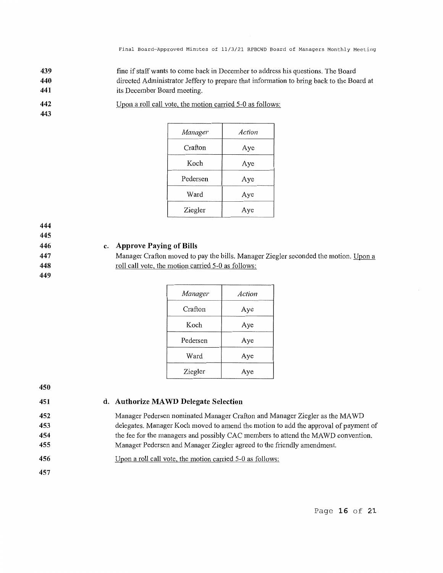Final Board-Approved Minutes of 11/3/21 RPBCWD Board of Managers Monthly Meeting

- **439 440 441**  fine if staff wants to come back in December to address his questions. The Board directed Administrator Jeffery to prepare that information to bring back to the Board at its December Board meeting.
- **442**  Upon a roll call vote, the motion carried 5-0 as follows:

| Manager  | Action |
|----------|--------|
| Crafton  | Aye    |
| Koch     | Aye    |
| Pedersen | Aye    |
| Ward     | Aye    |
| Ziegler  | Aye    |

**444** 

**443** 

**445** 

### **446 447**

**448 449** 

# **c. Approve Paying of Bills**

Manager Crafton moved to pay the bills. Manager Ziegler seconded the motion. Upon a roll call vote, the motion carried 5-0 as follows:

| Manager  | Action |
|----------|--------|
| Crafton  | Aye    |
| Koch     | Aye    |
| Pedersen | Aye    |
| Ward     | Aye    |
| Ziegler  | Aye    |

**450 451** 

# **d. Authorize MA WD Delegate Selection**

Manager Pedersen nominated Manager Crafton and Manager Ziegler as the MA WD delegates. Manager Koch moved to amend the motion to add the approval of payment of the fee for the managers and possibly CAC members to attend the MAWD convention. Manager Pedersen and Manager Ziegler agreed to the friendly amendment.

- **456**  Upon a roll call vote, the motion carried 5-0 as follows:
- **457**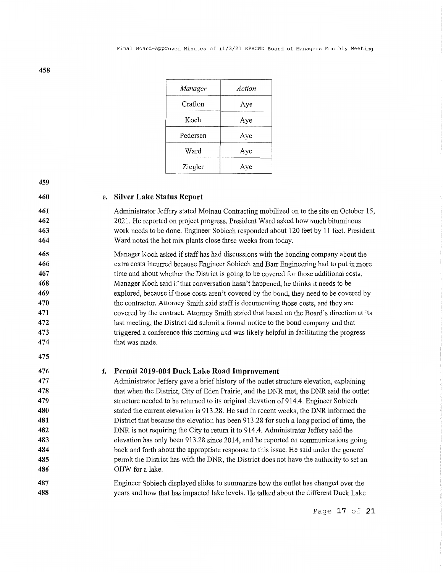| Manager  | Action |
|----------|--------|
| Crafton  | Aye    |
| Koch     | Aye    |
| Pedersen | Aye    |
| Ward     | Aye    |
| Ziegler  | Aye    |

### **e. Silver Lake Status Report**

Administrator Jeffery stated Molnau Contracting mobilized on to the site on October 15, 2021. He reported on project progress. President Ward asked how much bituminous work needs to be done. Engineer Sobiech responded about 120 feet by 11 feet. President Ward noted the hot mix plants close three weeks from today.

Manager Koch asked if staff has had discussions with the bonding company about the extra costs incurred because Engineer Sobiech and Barr Engineering had to put in more time and about whether the District is going to be covered for those additional costs. Manager Koch said if that conversation hasn't happened, he thinks it needs to be explored, because if those costs aren't covered by the bond, they need to be covered by the contractor. Attorney Smith said staff is documenting those costs, and they are covered by the contract. Attorney Smith stated that based on the Board's direction at its last meeting, the District did submit a formal notice to the bond company and that triggered a conference this morning and was likely helpful in facilitating the progress that was made.

#### **476 f. Permit 2019-004 Duck Lake Road Improvement**

**477 478 479 480 481 482 483 484 485 486**  Administrator Jeffery gave a brief history of the outlet structure elevation, explaining that when the District, City of Eden Prairie, and the DNR met, the DNR said the outlet structure needed to be returned to its original elevation of 914.4. Engineer Sobiech stated the current elevation is 913.28. He said in recent weeks, the DNR informed the District that because the elevation has been 913.28 for such a long period of time, the DNR is not requiring the City to return it to 914.4. Administrator Jeffery said the elevation has only been 913.28 since 2014, and he reported on communications going back and forth about the appropriate response to this issue. He said under the general permit the District has with the DNR, the District does not have the authority to set an OHW for a lake.

**487 488**  Engineer Sobiech displayed slides to summarize how the outlet has changed over the years and how that has impacted lake levels. He talked about the different Duck Lake

**458** 

Page **17 of 21**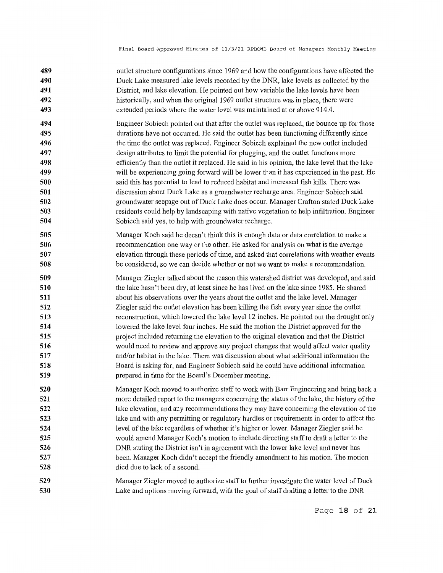- **489 490 491 492 493**  outlet structure configurations since 1969 and how the configurations have affected the Duck Lake measured lake levels recorded by the DNR, lake levels as collected by the District, and lake elevation. He pointed out how variable the lake levels have been historically, and when the original 1969 outlet structure was in place, there were extended periods where the water level was maintained at or above 914.4.
- **494 495 496 497 498 499 500 501 502 503 504**  Engineer Sobiech pointed out that after the outlet was replaced, the bounce up for those durations have not occuned. He said the outlet has been functioning differently since the time the outlet was replaced. Engineer Sobiech explained the new outlet included design attributes to limit the potential for plugging, and the outlet functions more efficiently than the outlet it replaced. He said in his opinion, the lake level that the lake will be experiencing going forward will be lower than it has experienced in the past. He said this has potential to lead to reduced habitat and increased fish kills. There was discussion about Duck Lake as a groundwater recharge area. Engineer Sobiech said groundwater seepage out of Duck Lake does occur. Manager Crafton stated Duck Lake residents could help by landscaping with native vegetation to help infiltration. Engineer Sobiech said yes, to help with groundwater recharge.
- **505 506 507 508**  Manager Koch said he doesn't think this is enough data or data correlation to make a recommendation one way or the other. He asked for analysis on what is the average elevation through these periods of time, and asked that correlations with weather events be considered, so we can decide whether or not we want to make a recommendation.
- **509 510 511 512 513 514 515 516 517 518 519**  Manager Ziegler talked about the reason this watershed district was developed, and said the lake hasn't been dry, at least since he has lived on the lake since 1985. He shared about his observations over the years about the outlet and the lake level. Manager Ziegler said the outlet elevation has been killing the fish every year since the outlet reconstruction, which lowered the lake level 12 inches. He pointed out the drought only lowered the lake level four inches. He said the motion the District approved for the project included returning the elevation to the original elevation and that the Distiict would need to review and approve any project changes that would affect water quality and/or habitat in the lake. There was discussion about what additional infornmtion the Board is asking for, and Engineer Sobiech said he could have additional information prepared in time for the Board's December meeting.
- **520 521 522 523 524 525 526 527 528**  Manager Koch moved to authorize staff to work with Barr Engineering and bring back a more detailed report to the managers concerning the status of the lake, the history of the lake elevation, and any recommendations they may have concerning the elevation of the lake and with any permitting or regulatory hurdles or requirements in order to affect the level of the lake regardless of whether it's higher or lower. Manager Ziegler said he would amend Manager Koch's motion to include directing staff to draft a letter to the DNR stating the District isn't in agreement with the lower lake level and never has been. Manager Koch didn't accept the friendly amendment to his motion. The motion died due to lack of a second.
- **529 530**  Manager Ziegler moved to authorize staff to further investigate the water level of Duck Lake and options moving forward, with the goal of staff drafting a letter to the DNR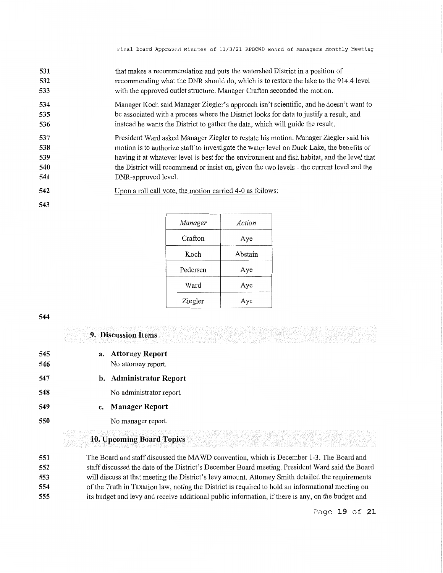- **531 532 533**  that makes a recommendation and puts the watershed District in a position of recommending what the DNR should do, which is to restore the lake to the 914.4 level with the approved outlet structure. Manager Crafton seconded the motion.
- **534 535 536**  Manager Koch said Manager Ziegler's approach isn't scientific, and he doesn't want to be associated with a process where the District looks for data to justify a result, and instead he wants the District to gather the data, which will guide the result.
- **537 538 539 540 541**  President Ward asked Manager Ziegler to restate his motion. Manager Ziegler said his motion is to authorize staff to investigate the water level on Duck Lake, the benefits of having it at whatever level is best for the environment and fish habitat, and the level that the District will recommend or insist on, given the two levels - the current level and the DNR-approved level.
- **542**  Upon a roll call vote, the motion carried 4-0 as follows:

| Manager  | Action  |
|----------|---------|
| Crafton  | Aye     |
| Koch     | Abstain |
| Pedersen | Aye     |
| Ward     | Aye     |
| Ziegler  | Aye     |

**543** 

**545 546 547 548 549 550 9. Discussion Items a. Attorney Report**  No attorney report. **b. Administrator Report**  No administrator report. **c. Manager Report**  No manager report. **10. Upcoming Board Topics** 

**551 552 553 554 555**  The Board and staff discussed the MA WD convention, which is December 1-3. The Board and staff discussed the date of the District's December Board meeting. President Ward said the Board will discuss at that meeting the District's levy amount. Attorney Smith detailed the requirements of the Truth in Taxation law, noting the District is required to hold an informational meeting on its budget and levy and receive additional public information, ifthere is any, on the budget and

Page **19 of 21**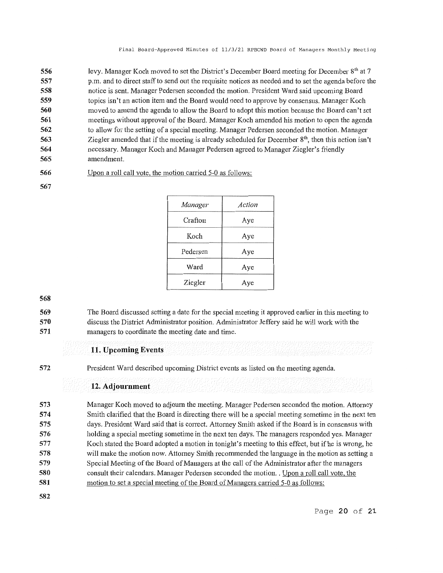| 556 | levy. Manager Koch moved to set the District's December Board meeting for December 8 <sup>th</sup> at 7 |
|-----|---------------------------------------------------------------------------------------------------------|
| 557 | p.m. and to direct staff to send out the requisite notices as needed and to set the agenda before the   |
| 558 | notice is sent. Manager Pedersen seconded the motion. President Ward said upcoming Board                |
| 559 | topics isn't an action item and the Board would need to approve by consensus. Manager Koch              |
| 560 | moved to amend the agenda to allow the Board to adopt this motion because the Board can't set           |
| 561 | meetings without approval of the Board. Manager Koch amended his motion to open the agenda              |
| 562 | to allow for the setting of a special meeting. Manager Pedersen seconded the motion. Manager            |
| 563 | Ziegler amended that if the meeting is already scheduled for December $8th$ , then this action isn't    |
| 564 | necessary. Manager Koch and Manager Pedersen agreed to Manager Ziegler's friendly                       |
| 565 | amendment.                                                                                              |

**566**  Upon a roll call vote, the motion carried 5-0 as follows:

**567** 

| <b>Manager</b> | Action |
|----------------|--------|
| Crafton        | Aye    |
| Koch           | Aye    |
| Pedersen       | Aye    |
| Ward           | Aye    |
| Ziegler        | Aye    |

**568** 

**569 570 571**  The Board discussed setting a date for the special meeting it approved earlier in this meeting to discuss the District Administrator position. Administrator Jeffery said he will work with the managers to coordinate the meeting date and time.

# **11. Upcoming Events**

**572** 

President Ward described upcoming District events as listed on the meeting agenda.

# **12. Adjournment**

**573 574 575 576 577 578 579 580 581**  Manager Koch moved to adjourn the meeting. Manager Pedersen seconded the motion. Attorney Smith clarified that the Board is directing there will be a special meeting sometime in the next ten days. President Ward said that is correct. Attorney Smith asked if the Board is in consensus with holding a special meeting sometime in the next ten days. The managers responded yes. Manager Koch stated the Board adopted a motion in tonight's meeting to this effect, but if he is wrong, he will make the motion now. Attorney Smith recommended the language in the motion as setting a Special Meeting of the Board of Managers at the call of the Administrator after the managers consult their calendars. Manager Pedersen seconded the motion. . Upon a roll call vote, the motion to set a special meeting of the Board of Managers carried 5-0 as follows:

**582**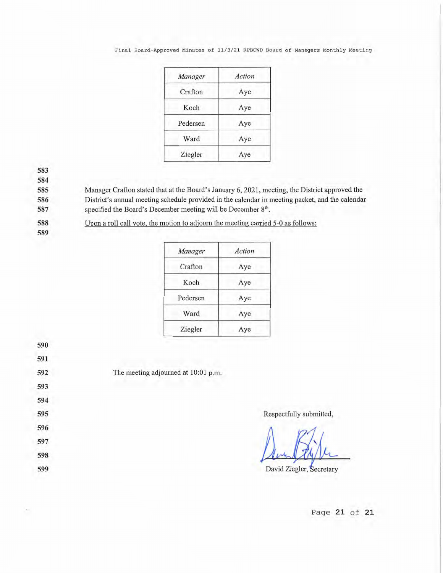### Final Board-Approved Minutes of 11/3/21 RPBCWD Board of Managers Monthly Meeting

| Manager  | Action |
|----------|--------|
| Crafton  | Aye    |
| Koch     | Aye    |
| Pedersen | Aye    |
| Ward     | Aye    |
| Ziegler  | Aye    |

**583** 

**584** 

**585**  Manager Crafton stated that at the Board's January 6, 2021, meeting, the District approved the

**586**  District's annual meeting schedule provided in the calendar in meeting packet, and the calendar

**587**  specified the Board's December meeting will be December 8<sup>th</sup>.

**588 589**  Upon a roll call vote, the motion to adjourn the meeting carried 5-0 as follows:

| Manager  | Action |
|----------|--------|
| Crafton  | Aye    |
| Koch     | Aye    |
| Pedersen | Aye    |
| Ward     | Aye    |
| Ziegler  | Aye    |



Page **21 of 21**